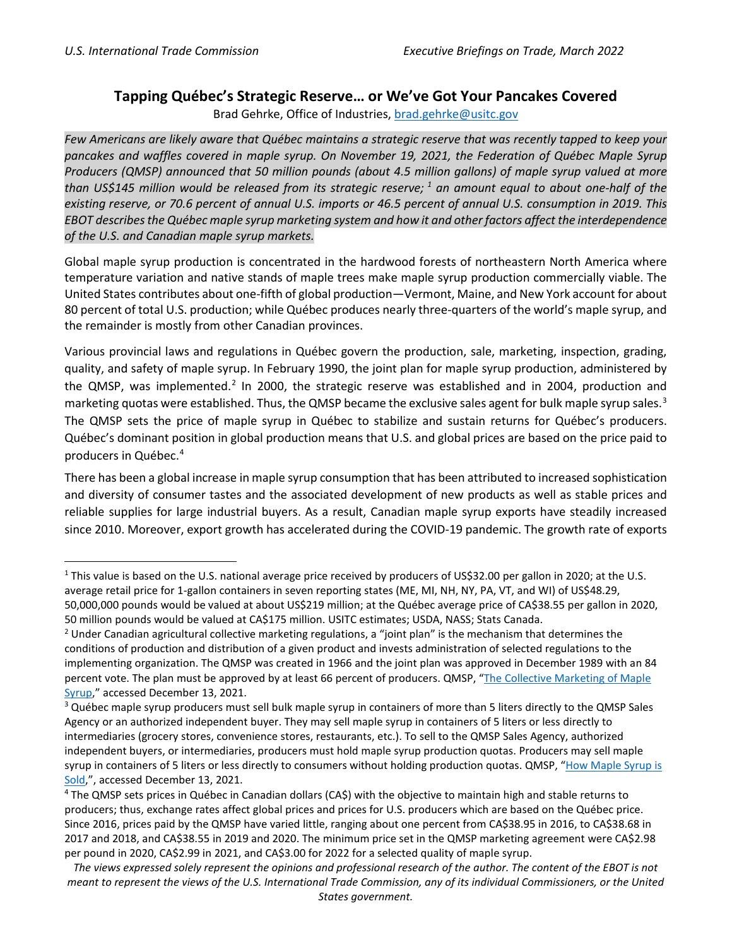## **Tapping Québec's Strategic Reserve… or We've Got Your Pancakes Covered**

Brad Gehrke, Office of Industries, [brad.gehrke@usitc.gov](mailto:brad.gehrke@usitc.gov)

*Few Americans are likely aware that Québec maintains a strategic reserve that was recently tapped to keep your pancakes and waffles covered in maple syrup. On November 19, 2021, the Federation of Québec Maple Syrup Producers (QMSP) announced that 50 million pounds (about 4.5 million gallons) of maple syrup valued at more than US\$145 million would be released from its strategic reserve; [1](#page-1-0) an amount equal to about one-half of the existing reserve, or 70.6 percent of annual U.S. imports or 46.5 percent of annual U.S. consumption in 2019. This EBOT describesthe Québec maple syrup marketing system and how it and other factors affect the interdependence of the U.S. and Canadian maple syrup markets.*

Global maple syrup production is concentrated in the hardwood forests of northeastern North America where temperature variation and native stands of maple trees make maple syrup production commercially viable. The United States contributes about one-fifth of global production—Vermont, Maine, and New York account for about 80 percent of total U.S. production; while Québec produces nearly three-quarters of the world's maple syrup, and the remainder is mostly from other Canadian provinces.

Various provincial laws and regulations in Québec govern the production, sale, marketing, inspection, grading, quality, and safety of maple syrup. In February 1990, the joint plan for maple syrup production, administered by the QMSP, was implemented.<sup>[2](#page-0-0)</sup> In 2000, the strategic reserve was established and in 2004, production and marketing quotas were established. Thus, the QMSP became the exclusive sales agent for bulk maple syrup sales.<sup>[3](#page-0-1)</sup> The QMSP sets the price of maple syrup in Québec to stabilize and sustain returns for Québec's producers. Québec's dominant position in global production means that U.S. and global prices are based on the price paid to producers in Québec.<sup>4</sup>

There has been a global increase in maple syrup consumption that has been attributed to increased sophistication and diversity of consumer tastes and the associated development of new products as well as stable prices and reliable supplies for large industrial buyers. As a result, Canadian maple syrup exports have steadily increased since 2010. Moreover, export growth has accelerated during the COVID-19 pandemic. The growth rate of exports

<sup>&</sup>lt;sup>1</sup> This value is based on the U.S. national average price received by producers of US\$32.00 per gallon in 2020; at the U.S. average retail price for 1-gallon containers in seven reporting states (ME, MI, NH, NY, PA, VT, and WI) of US\$48.29, 50,000,000 pounds would be valued at about US\$219 million; at the Québec average price of CA\$38.55 per gallon in 2020, 50 million pounds would be valued at CA\$175 million. USITC estimates; USDA, NASS; Stats Canada.

<span id="page-0-0"></span><sup>&</sup>lt;sup>2</sup> Under Canadian agricultural collective marketing regulations, a "joint plan" is the mechanism that determines the conditions of production and distribution of a given product and invests administration of selected regulations to the implementing organization. The QMSP was created in 1966 and the joint plan was approved in December 1989 with an 84 percent vote. The plan must be approved by at least 66 percent of producers. QMSP, "The Collective Marketing of Maple [Syrup,](https://ppaq.ca/en/our-organization/operation-and-regulations/collective-marketing-maple-syrup/)" accessed December 13, 2021.

<span id="page-0-1"></span><sup>&</sup>lt;sup>3</sup> Québec maple syrup producers must sell bulk maple syrup in containers of more than 5 liters directly to the QMSP Sales Agency or an authorized independent buyer. They may sell maple syrup in containers of 5 liters or less directly to intermediaries (grocery stores, convenience stores, restaurants, etc.). To sell to the QMSP Sales Agency, authorized independent buyers, or intermediaries, producers must hold maple syrup production quotas. Producers may sell maple syrup in containers of 5 liters or less directly to consumers without holding production quotas. QMSP, "How Maple Syrup is [Sold,"](https://ppaq.ca/en/sale-purchase-maple-syrup/how-maple-syrup-is-sold/), accessed December 13, 2021.

<span id="page-0-2"></span><sup>4</sup> The QMSP sets prices in Québec in Canadian dollars (CA\$) with the objective to maintain high and stable returns to producers; thus, exchange rates affect global prices and prices for U.S. producers which are based on the Québec price. Since 2016, prices paid by the QMSP have varied little, ranging about one percent from CA\$38.95 in 2016, to CA\$38.68 in 2017 and 2018, and CA\$38.55 in 2019 and 2020. The minimum price set in the QMSP marketing agreement were CA\$2.98 per pound in 2020, CA\$2.99 in 2021, and CA\$3.00 for 2022 for a selected quality of maple syrup.

*The views expressed solely represent the opinions and professional research of the author. The content of the EBOT is not meant to represent the views of the U.S. International Trade Commission, any of its individual Commissioners, or the United States government.*